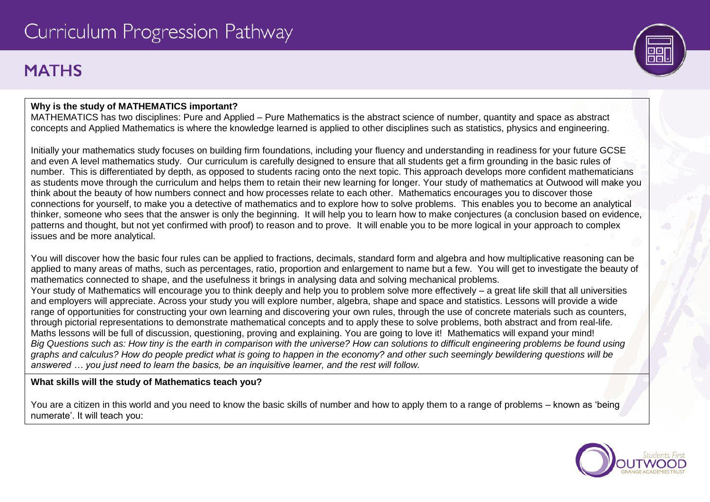# **MATHS**

# **Why is the study of MATHEMATICS important?**

MATHEMATICS has two disciplines: Pure and Applied – Pure Mathematics is the abstract science of number, quantity and space as abstract concepts and Applied Mathematics is where the knowledge learned is applied to other disciplines such as statistics, physics and engineering.

Initially your mathematics study focuses on building firm foundations, including your fluency and understanding in readiness for your future GCSE and even A level mathematics study. Our curriculum is carefully designed to ensure that all students get a firm grounding in the basic rules of number. This is differentiated by depth, as opposed to students racing onto the next topic. This approach develops more confident mathematicians as students move through the curriculum and helps them to retain their new learning for longer. Your study of mathematics at Outwood will make you think about the beauty of how numbers connect and how processes relate to each other. Mathematics encourages you to discover those connections for yourself, to make you a detective of mathematics and to explore how to solve problems. This enables you to become an analytical thinker, someone who sees that the answer is only the beginning. It will help you to learn how to make conjectures (a conclusion based on evidence, patterns and thought, but not yet confirmed with proof) to reason and to prove. It will enable you to be more logical in your approach to complex issues and be more analytical.

You will discover how the basic four rules can be applied to fractions, decimals, standard form and algebra and how multiplicative reasoning can be applied to many areas of maths, such as percentages, ratio, proportion and enlargement to name but a few. You will get to investigate the beauty of mathematics connected to shape, and the usefulness it brings in analysing data and solving mechanical problems. Your study of Mathematics will encourage you to think deeply and help you to problem solve more effectively – a great life skill that all universities and employers will appreciate. Across your study you will explore number, algebra, shape and space and statistics. Lessons will provide a wide range of opportunities for constructing your own learning and discovering your own rules, through the use of concrete materials such as counters, through pictorial representations to demonstrate mathematical concepts and to apply these to solve problems, both abstract and from real-life. Maths lessons will be full of discussion, questioning, proving and explaining. You are going to love it! Mathematics will expand your mind! *Big Questions such as: How tiny is the earth in comparison with the universe? How can solutions to difficult engineering problems be found using graphs and calculus? How do people predict what is going to happen in the economy? and other such seemingly bewildering questions will be answered … you just need to learn the basics, be an inquisitive learner, and the rest will follow.*

# **What skills will the study of Mathematics teach you?**

You are a citizen in this world and you need to know the basic skills of number and how to apply them to a range of problems – known as 'being numerate'. It will teach you:

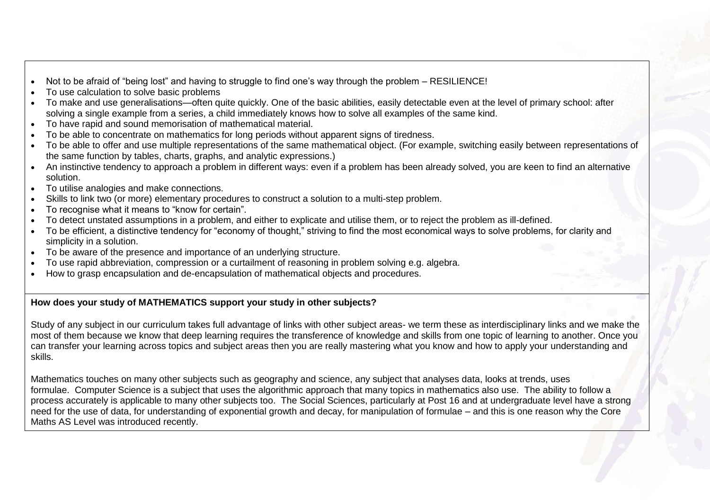- Not to be afraid of "being lost" and having to struggle to find one's way through the problem RESILIENCE!
- To use calculation to solve basic problems
- To make and use generalisations—often quite quickly. One of the basic abilities, easily detectable even at the level of primary school: after solving a single example from a series, a child immediately knows how to solve all examples of the same kind.
- To have rapid and sound memorisation of mathematical material.
- To be able to concentrate on mathematics for long periods without apparent signs of tiredness.
- To be able to offer and use multiple representations of the same mathematical object. (For example, switching easily between representations of the same function by tables, charts, graphs, and analytic expressions.)
- An instinctive tendency to approach a problem in different ways: even if a problem has been already solved, you are keen to find an alternative solution.
- To utilise analogies and make connections.
- Skills to link two (or more) elementary procedures to construct a solution to a multi-step problem.
- To recognise what it means to "know for certain".
- To detect unstated assumptions in a problem, and either to explicate and utilise them, or to reject the problem as ill-defined.
- To be efficient, a distinctive tendency for "economy of thought," striving to find the most economical ways to solve problems, for clarity and simplicity in a solution.
- To be aware of the presence and importance of an underlying structure.
- To use rapid abbreviation, compression or a curtailment of reasoning in problem solving e.g. algebra.
- How to grasp encapsulation and de-encapsulation of mathematical objects and procedures.

#### **How does your study of MATHEMATICS support your study in other subjects?**

Study of any subject in our curriculum takes full advantage of links with other subject areas- we term these as interdisciplinary links and we make the most of them because we know that deep learning requires the transference of knowledge and skills from one topic of learning to another. Once you can transfer your learning across topics and subject areas then you are really mastering what you know and how to apply your understanding and skills.

Mathematics touches on many other subjects such as geography and science, any subject that analyses data, looks at trends, uses formulae. Computer Science is a subject that uses the algorithmic approach that many topics in mathematics also use. The ability to follow a process accurately is applicable to many other subjects too. The Social Sciences, particularly at Post 16 and at undergraduate level have a strong need for the use of data, for understanding of exponential growth and decay, for manipulation of formulae – and this is one reason why the Core Maths AS Level was introduced recently.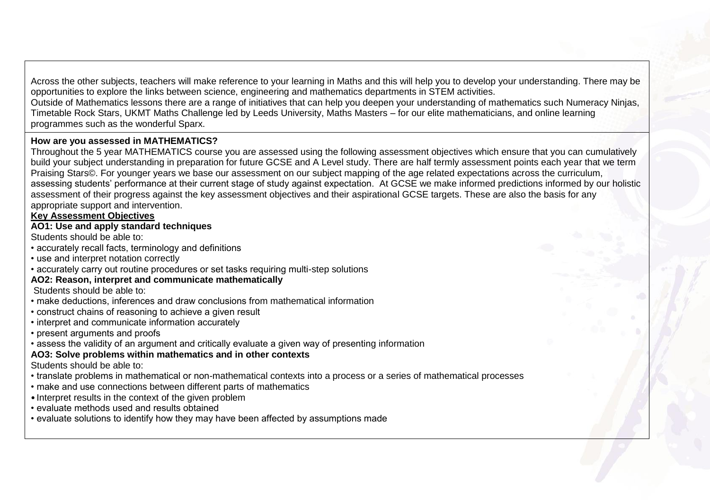Across the other subjects, teachers will make reference to your learning in Maths and this will help you to develop your understanding. There may be opportunities to explore the links between science, engineering and mathematics departments in STEM activities. Outside of Mathematics lessons there are a range of initiatives that can help you deepen your understanding of mathematics such Numeracy Ninjas, Timetable Rock Stars, UKMT Maths Challenge led by Leeds University, Maths Masters – for our elite mathematicians, and online learning programmes such as the wonderful Sparx.

### **How are you assessed in MATHEMATICS?**

Throughout the 5 year MATHEMATICS course you are assessed using the following assessment objectives which ensure that you can cumulatively build your subject understanding in preparation for future GCSE and A Level study. There are half termly assessment points each year that we term Praising Stars©. For younger years we base our assessment on our subject mapping of the age related expectations across the curriculum, assessing students' performance at their current stage of study against expectation. At GCSE we make informed predictions informed by our holistic assessment of their progress against the key assessment objectives and their aspirational GCSE targets. These are also the basis for any appropriate support and intervention.

#### **Key Assessment Objectives**

#### **AO1: Use and apply standard techniques**

Students should be able to:

- accurately recall facts, terminology and definitions
- use and interpret notation correctly
- accurately carry out routine procedures or set tasks requiring multi-step solutions

#### **AO2: Reason, interpret and communicate mathematically**

Students should be able to:

- make deductions, inferences and draw conclusions from mathematical information
- construct chains of reasoning to achieve a given result
- interpret and communicate information accurately
- present arguments and proofs
- assess the validity of an argument and critically evaluate a given way of presenting information

#### **AO3: Solve problems within mathematics and in other contexts**

Students should be able to:

- translate problems in mathematical or non-mathematical contexts into a process or a series of mathematical processes
- make and use connections between different parts of mathematics
- Interpret results in the context of the given problem
- evaluate methods used and results obtained
- evaluate solutions to identify how they may have been affected by assumptions made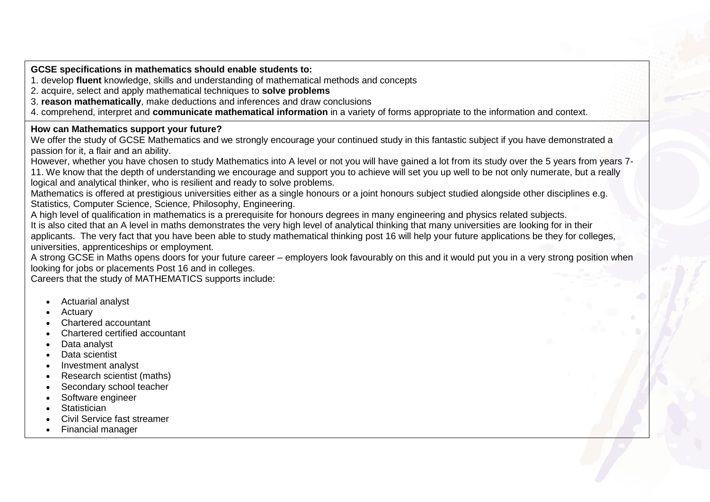**GCSE specifications in mathematics should enable students to:** 

1. develop **fluent** knowledge, skills and understanding of mathematical methods and concepts

2. acquire, select and apply mathematical techniques to **solve problems**

3. **reason mathematically**, make deductions and inferences and draw conclusions

4. comprehend, interpret and **communicate mathematical information** in a variety of forms appropriate to the information and context.

#### **How can Mathematics support your future?**

We offer the study of GCSE Mathematics and we strongly encourage your continued study in this fantastic subject if you have demonstrated a passion for it, a flair and an ability.

However, whether you have chosen to study Mathematics into A level or not you will have gained a lot from its study over the 5 years from years 7- 11. We know that the depth of understanding we encourage and support you to achieve will set you up well to be not only numerate, but a really logical and analytical thinker, who is resilient and ready to solve problems.

Mathematics is offered at prestigious universities either as a single honours or a joint honours subject studied alongside other disciplines e.g. Statistics, Computer Science, Science, Philosophy, Engineering.

A high level of qualification in mathematics is a prerequisite for honours degrees in many engineering and physics related subjects. It is also cited that an A level in maths demonstrates the very high level of analytical thinking that many universities are looking for in their applicants. The very fact that you have been able to study mathematical thinking post 16 will help your future applications be they for colleges, universities, apprenticeships or employment.

A strong GCSE in Maths opens doors for your future career – employers look favourably on this and it would put you in a very strong position when looking for jobs or placements Post 16 and in colleges.

Careers that the study of MATHEMATICS supports include:

- Actuarial analyst
- Actuary
- Chartered accountant
- Chartered certified accountant
- Data analyst
- Data scientist
- Investment analyst
- Research scientist (maths)
- Secondary school teacher
- Software engineer
- **Statistician**
- Civil Service fast streamer
- Financial manager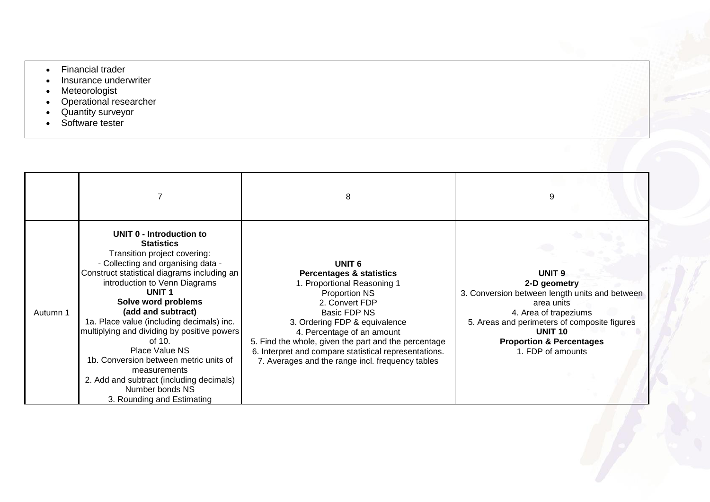- Financial trader
- Insurance underwriter
- Meteorologist
- Operational researcher
- Quantity surveyor
- Software tester

|          |                                                                                                                                                                                                                                                                                                                                                                                                                                                                                                                                                 | 8                                                                                                                                                                                                                                                                                                                                                                                     |                                                                                                                                                                                                                                                          |
|----------|-------------------------------------------------------------------------------------------------------------------------------------------------------------------------------------------------------------------------------------------------------------------------------------------------------------------------------------------------------------------------------------------------------------------------------------------------------------------------------------------------------------------------------------------------|---------------------------------------------------------------------------------------------------------------------------------------------------------------------------------------------------------------------------------------------------------------------------------------------------------------------------------------------------------------------------------------|----------------------------------------------------------------------------------------------------------------------------------------------------------------------------------------------------------------------------------------------------------|
| Autumn 1 | UNIT 0 - Introduction to<br><b>Statistics</b><br>Transition project covering:<br>- Collecting and organising data -<br>Construct statistical diagrams including an<br>introduction to Venn Diagrams<br><b>UNIT1</b><br>Solve word problems<br>(add and subtract)<br>1a. Place value (including decimals) inc.<br>multiplying and dividing by positive powers<br>of 10.<br>Place Value NS<br>1b. Conversion between metric units of<br>measurements<br>2. Add and subtract (including decimals)<br>Number bonds NS<br>3. Rounding and Estimating | UNIT <sub>6</sub><br><b>Percentages &amp; statistics</b><br>1. Proportional Reasoning 1<br><b>Proportion NS</b><br>2. Convert FDP<br>Basic FDP NS<br>3. Ordering FDP & equivalence<br>4. Percentage of an amount<br>5. Find the whole, given the part and the percentage<br>6. Interpret and compare statistical representations.<br>7. Averages and the range incl. frequency tables | UNIT <sub>9</sub><br>2-D geometry<br>3. Conversion between length units and between<br>area units<br>4. Area of trapeziums<br>5. Areas and perimeters of composite figures<br><b>UNIT 10</b><br><b>Proportion &amp; Percentages</b><br>1. FDP of amounts |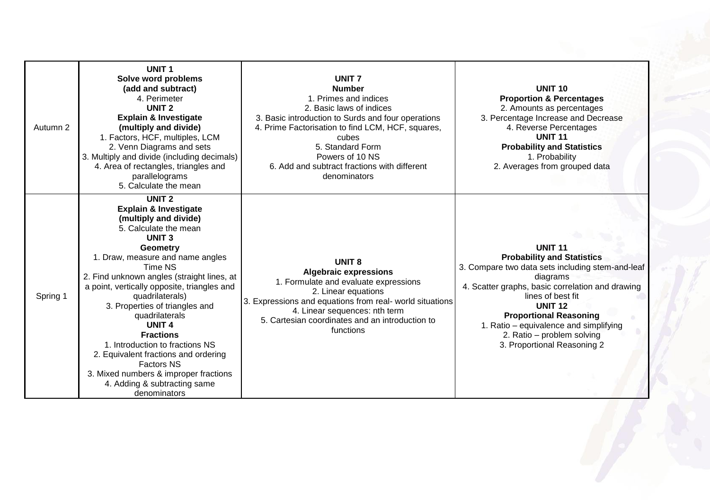| Autumn 2 | <b>UNIT1</b><br>Solve word problems<br>(add and subtract)<br>4. Perimeter<br>UNIT <sub>2</sub><br><b>Explain &amp; Investigate</b><br>(multiply and divide)<br>1. Factors, HCF, multiples, LCM<br>2. Venn Diagrams and sets<br>3. Multiply and divide (including decimals)<br>4. Area of rectangles, triangles and<br>parallelograms<br>5. Calculate the mean                                                                                                                                                                                                                         | <b>UNIT 7</b><br><b>Number</b><br>1. Primes and indices<br>2. Basic laws of indices<br>3. Basic introduction to Surds and four operations<br>4. Prime Factorisation to find LCM, HCF, squares,<br>cubes<br>5. Standard Form<br>Powers of 10 NS<br>6. Add and subtract fractions with different<br>denominators | <b>UNIT 10</b><br><b>Proportion &amp; Percentages</b><br>2. Amounts as percentages<br>3. Percentage Increase and Decrease<br>4. Reverse Percentages<br><b>UNIT 11</b><br><b>Probability and Statistics</b><br>1. Probability<br>2. Averages from grouped data                                                                                          |
|----------|---------------------------------------------------------------------------------------------------------------------------------------------------------------------------------------------------------------------------------------------------------------------------------------------------------------------------------------------------------------------------------------------------------------------------------------------------------------------------------------------------------------------------------------------------------------------------------------|----------------------------------------------------------------------------------------------------------------------------------------------------------------------------------------------------------------------------------------------------------------------------------------------------------------|--------------------------------------------------------------------------------------------------------------------------------------------------------------------------------------------------------------------------------------------------------------------------------------------------------------------------------------------------------|
| Spring 1 | <b>UNIT 2</b><br><b>Explain &amp; Investigate</b><br>(multiply and divide)<br>5. Calculate the mean<br>UNIT <sub>3</sub><br>Geometry<br>1. Draw, measure and name angles<br>Time NS<br>2. Find unknown angles (straight lines, at<br>a point, vertically opposite, triangles and<br>quadrilaterals)<br>3. Properties of triangles and<br>quadrilaterals<br><b>UNIT 4</b><br><b>Fractions</b><br>1. Introduction to fractions NS<br>2. Equivalent fractions and ordering<br><b>Factors NS</b><br>3. Mixed numbers & improper fractions<br>4. Adding & subtracting same<br>denominators | <b>UNIT 8</b><br><b>Algebraic expressions</b><br>1. Formulate and evaluate expressions<br>2. Linear equations<br>3. Expressions and equations from real- world situations<br>4. Linear sequences: nth term<br>5. Cartesian coordinates and an introduction to<br>functions                                     | <b>UNIT 11</b><br><b>Probability and Statistics</b><br>3. Compare two data sets including stem-and-leaf<br>diagrams<br>4. Scatter graphs, basic correlation and drawing<br>lines of best fit<br><b>UNIT 12</b><br><b>Proportional Reasoning</b><br>1. Ratio – equivalence and simplifying<br>2. Ratio - problem solving<br>3. Proportional Reasoning 2 |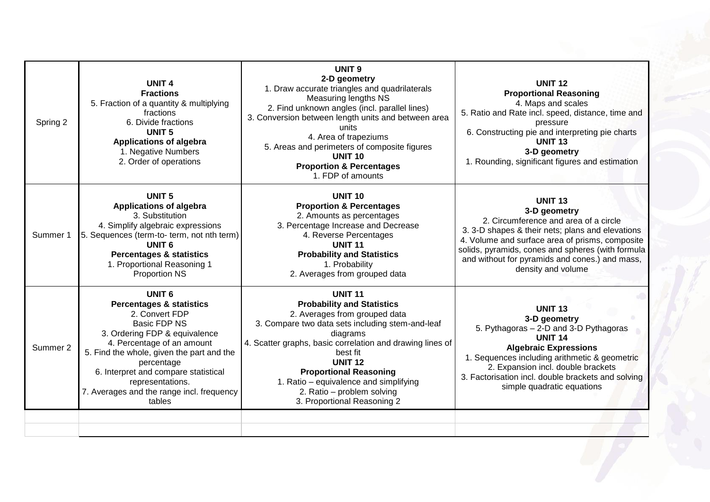| Spring 2 | <b>UNIT 4</b><br><b>Fractions</b><br>5. Fraction of a quantity & multiplying<br>fractions<br>6. Divide fractions<br>UNIT <sub>5</sub><br><b>Applications of algebra</b><br>1. Negative Numbers<br>2. Order of operations                                                                                                            | <b>UNIT 9</b><br>2-D geometry<br>1. Draw accurate triangles and quadrilaterals<br>Measuring lengths NS<br>2. Find unknown angles (incl. parallel lines)<br>3. Conversion between length units and between area<br>units<br>4. Area of trapeziums<br>5. Areas and perimeters of composite figures<br><b>UNIT 10</b><br><b>Proportion &amp; Percentages</b><br>1. FDP of amounts          | <b>UNIT 12</b><br><b>Proportional Reasoning</b><br>4. Maps and scales<br>5. Ratio and Rate incl. speed, distance, time and<br>pressure<br>6. Constructing pie and interpreting pie charts<br><b>UNIT 13</b><br>3-D geometry<br>1. Rounding, significant figures and estimation                              |
|----------|-------------------------------------------------------------------------------------------------------------------------------------------------------------------------------------------------------------------------------------------------------------------------------------------------------------------------------------|-----------------------------------------------------------------------------------------------------------------------------------------------------------------------------------------------------------------------------------------------------------------------------------------------------------------------------------------------------------------------------------------|-------------------------------------------------------------------------------------------------------------------------------------------------------------------------------------------------------------------------------------------------------------------------------------------------------------|
| Summer 1 | <b>UNIT 5</b><br><b>Applications of algebra</b><br>3. Substitution<br>4. Simplify algebraic expressions<br>5. Sequences (term-to- term, not nth term)<br><b>UNIT 6</b><br><b>Percentages &amp; statistics</b><br>1. Proportional Reasoning 1<br><b>Proportion NS</b>                                                                | <b>UNIT 10</b><br><b>Proportion &amp; Percentages</b><br>2. Amounts as percentages<br>3. Percentage Increase and Decrease<br>4. Reverse Percentages<br><b>UNIT 11</b><br><b>Probability and Statistics</b><br>1. Probability<br>2. Averages from grouped data                                                                                                                           | <b>UNIT 13</b><br>3-D geometry<br>2. Circumference and area of a circle<br>3. 3-D shapes & their nets; plans and elevations<br>4. Volume and surface area of prisms, composite<br>solids, pyramids, cones and spheres (with formula<br>and without for pyramids and cones.) and mass,<br>density and volume |
| Summer 2 | <b>UNIT 6</b><br><b>Percentages &amp; statistics</b><br>2. Convert FDP<br>Basic FDP NS<br>3. Ordering FDP & equivalence<br>4. Percentage of an amount<br>5. Find the whole, given the part and the<br>percentage<br>6. Interpret and compare statistical<br>representations.<br>7. Averages and the range incl. frequency<br>tables | <b>UNIT 11</b><br><b>Probability and Statistics</b><br>2. Averages from grouped data<br>3. Compare two data sets including stem-and-leaf<br>diagrams<br>4. Scatter graphs, basic correlation and drawing lines of<br>best fit<br><b>UNIT 12</b><br><b>Proportional Reasoning</b><br>1. Ratio – equivalence and simplifying<br>2. Ratio - problem solving<br>3. Proportional Reasoning 2 | <b>UNIT 13</b><br>3-D geometry<br>5. Pythagoras - 2-D and 3-D Pythagoras<br><b>UNIT 14</b><br><b>Algebraic Expressions</b><br>1. Sequences including arithmetic & geometric<br>2. Expansion incl. double brackets<br>3. Factorisation incl. double brackets and solving<br>simple quadratic equations       |
|          |                                                                                                                                                                                                                                                                                                                                     |                                                                                                                                                                                                                                                                                                                                                                                         |                                                                                                                                                                                                                                                                                                             |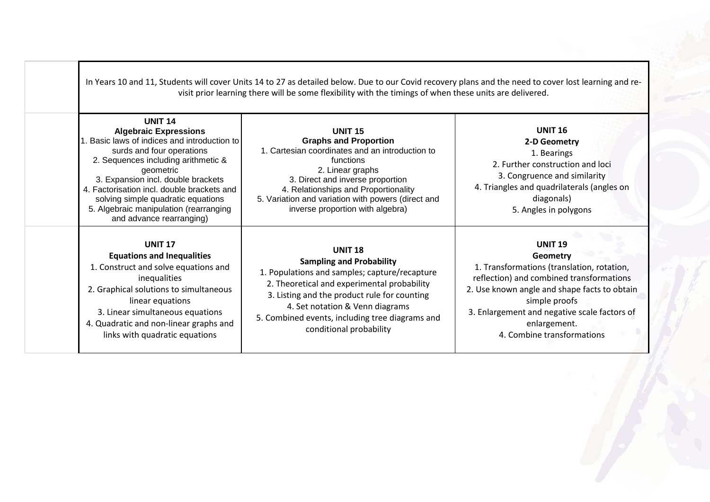|                                                                                                                                                                                                                                                                                                                                                                              | In Years 10 and 11, Students will cover Units 14 to 27 as detailed below. Due to our Covid recovery plans and the need to cover lost learning and re-<br>visit prior learning there will be some flexibility with the timings of when these units are delivered.                                                   |                                                                                                                                                                                                                                                                                     |
|------------------------------------------------------------------------------------------------------------------------------------------------------------------------------------------------------------------------------------------------------------------------------------------------------------------------------------------------------------------------------|--------------------------------------------------------------------------------------------------------------------------------------------------------------------------------------------------------------------------------------------------------------------------------------------------------------------|-------------------------------------------------------------------------------------------------------------------------------------------------------------------------------------------------------------------------------------------------------------------------------------|
| <b>UNIT 14</b><br><b>Algebraic Expressions</b><br>Basic laws of indices and introduction to<br>surds and four operations<br>2. Sequences including arithmetic &<br>geometric<br>3. Expansion incl. double brackets<br>4. Factorisation incl. double brackets and<br>solving simple quadratic equations<br>5. Algebraic manipulation (rearranging<br>and advance rearranging) | <b>UNIT 15</b><br><b>Graphs and Proportion</b><br>1. Cartesian coordinates and an introduction to<br>functions<br>2. Linear graphs<br>3. Direct and inverse proportion<br>4. Relationships and Proportionality<br>5. Variation and variation with powers (direct and<br>inverse proportion with algebra)           | <b>UNIT 16</b><br>2-D Geometry<br>1. Bearings<br>2. Further construction and loci<br>3. Congruence and similarity<br>4. Triangles and quadrilaterals (angles on<br>diagonals)<br>5. Angles in polygons                                                                              |
| <b>UNIT 17</b><br><b>Equations and Inequalities</b><br>1. Construct and solve equations and<br>inequalities<br>2. Graphical solutions to simultaneous<br>linear equations<br>3. Linear simultaneous equations<br>4. Quadratic and non-linear graphs and<br>links with quadratic equations                                                                                    | <b>UNIT 18</b><br><b>Sampling and Probability</b><br>1. Populations and samples; capture/recapture<br>2. Theoretical and experimental probability<br>3. Listing and the product rule for counting<br>4. Set notation & Venn diagrams<br>5. Combined events, including tree diagrams and<br>conditional probability | <b>UNIT 19</b><br>Geometry<br>1. Transformations (translation, rotation,<br>reflection) and combined transformations<br>2. Use known angle and shape facts to obtain<br>simple proofs<br>3. Enlargement and negative scale factors of<br>enlargement.<br>4. Combine transformations |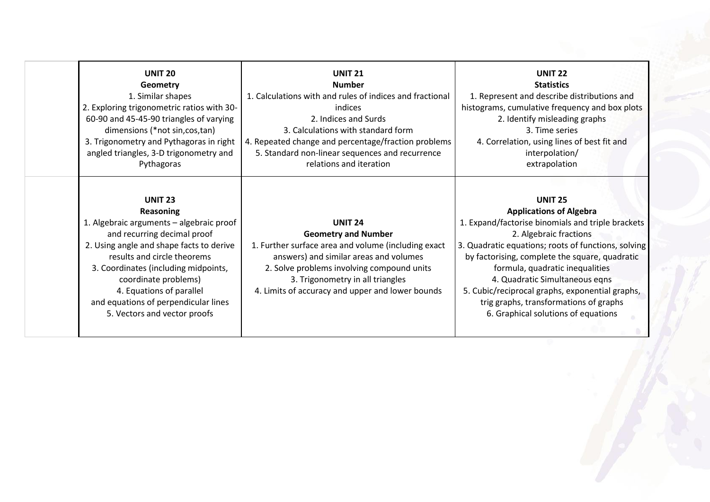| <b>UNIT 20</b>                                                                                                                                                                                                                                                                                                                                               | <b>UNIT 21</b>                                                                                                                                                                                                                                                                      | <b>UNIT 22</b>                                 |
|--------------------------------------------------------------------------------------------------------------------------------------------------------------------------------------------------------------------------------------------------------------------------------------------------------------------------------------------------------------|-------------------------------------------------------------------------------------------------------------------------------------------------------------------------------------------------------------------------------------------------------------------------------------|------------------------------------------------|
| Geometry                                                                                                                                                                                                                                                                                                                                                     | <b>Number</b>                                                                                                                                                                                                                                                                       | <b>Statistics</b>                              |
| 1. Similar shapes                                                                                                                                                                                                                                                                                                                                            | 1. Calculations with and rules of indices and fractional                                                                                                                                                                                                                            | 1. Represent and describe distributions and    |
| 2. Exploring trigonometric ratios with 30-                                                                                                                                                                                                                                                                                                                   | indices                                                                                                                                                                                                                                                                             | histograms, cumulative frequency and box plots |
| 60-90 and 45-45-90 triangles of varying                                                                                                                                                                                                                                                                                                                      | 2. Indices and Surds                                                                                                                                                                                                                                                                | 2. Identify misleading graphs                  |
| dimensions (*not sin, cos, tan)                                                                                                                                                                                                                                                                                                                              | 3. Calculations with standard form                                                                                                                                                                                                                                                  | 3. Time series                                 |
| 3. Trigonometry and Pythagoras in right                                                                                                                                                                                                                                                                                                                      | 4. Repeated change and percentage/fraction problems                                                                                                                                                                                                                                 | 4. Correlation, using lines of best fit and    |
| angled triangles, 3-D trigonometry and                                                                                                                                                                                                                                                                                                                       | 5. Standard non-linear sequences and recurrence                                                                                                                                                                                                                                     | interpolation/                                 |
| Pythagoras                                                                                                                                                                                                                                                                                                                                                   | relations and iteration                                                                                                                                                                                                                                                             | extrapolation                                  |
| <b>UNIT 23</b><br><b>Reasoning</b><br>1. Algebraic arguments - algebraic proof<br>and recurring decimal proof<br>2. Using angle and shape facts to derive<br>results and circle theorems<br>3. Coordinates (including midpoints,<br>coordinate problems)<br>4. Equations of parallel<br>and equations of perpendicular lines<br>5. Vectors and vector proofs | <b>UNIT 24</b><br><b>Geometry and Number</b><br>1. Further surface area and volume (including exact<br>answers) and similar areas and volumes<br>2. Solve problems involving compound units<br>3. Trigonometry in all triangles<br>4. Limits of accuracy and upper and lower bounds |                                                |